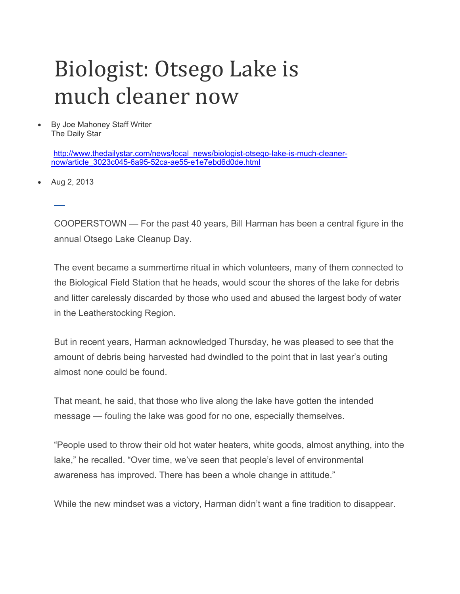## Biologist: Otsego Lake is much cleaner now

 By Joe Mahoney Staff Writer The Daily Star

> http://www.thedailystar.com/news/local\_news/biologist-otsego-lake-is-much-cleanernow/article\_3023c045-6a95-52ca-ae55-e1e7ebd6d0de.html

Aug 2, 2013

 $\overline{a}$ 

COOPERSTOWN — For the past 40 years, Bill Harman has been a central figure in the annual Otsego Lake Cleanup Day.

The event became a summertime ritual in which volunteers, many of them connected to the Biological Field Station that he heads, would scour the shores of the lake for debris and litter carelessly discarded by those who used and abused the largest body of water in the Leatherstocking Region.

But in recent years, Harman acknowledged Thursday, he was pleased to see that the amount of debris being harvested had dwindled to the point that in last year's outing almost none could be found.

That meant, he said, that those who live along the lake have gotten the intended message — fouling the lake was good for no one, especially themselves.

"People used to throw their old hot water heaters, white goods, almost anything, into the lake," he recalled. "Over time, we've seen that people's level of environmental awareness has improved. There has been a whole change in attitude."

While the new mindset was a victory, Harman didn't want a fine tradition to disappear.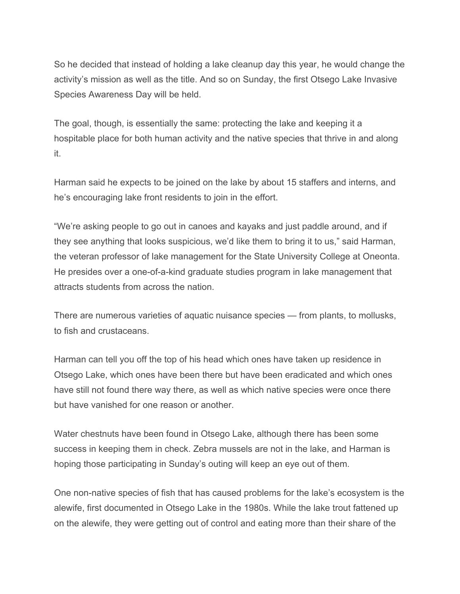So he decided that instead of holding a lake cleanup day this year, he would change the activity's mission as well as the title. And so on Sunday, the first Otsego Lake Invasive Species Awareness Day will be held.

The goal, though, is essentially the same: protecting the lake and keeping it a hospitable place for both human activity and the native species that thrive in and along it.

Harman said he expects to be joined on the lake by about 15 staffers and interns, and he's encouraging lake front residents to join in the effort.

"We're asking people to go out in canoes and kayaks and just paddle around, and if they see anything that looks suspicious, we'd like them to bring it to us," said Harman, the veteran professor of lake management for the State University College at Oneonta. He presides over a one-of-a-kind graduate studies program in lake management that attracts students from across the nation.

There are numerous varieties of aquatic nuisance species — from plants, to mollusks, to fish and crustaceans.

Harman can tell you off the top of his head which ones have taken up residence in Otsego Lake, which ones have been there but have been eradicated and which ones have still not found there way there, as well as which native species were once there but have vanished for one reason or another.

Water chestnuts have been found in Otsego Lake, although there has been some success in keeping them in check. Zebra mussels are not in the lake, and Harman is hoping those participating in Sunday's outing will keep an eye out of them.

One non-native species of fish that has caused problems for the lake's ecosystem is the alewife, first documented in Otsego Lake in the 1980s. While the lake trout fattened up on the alewife, they were getting out of control and eating more than their share of the